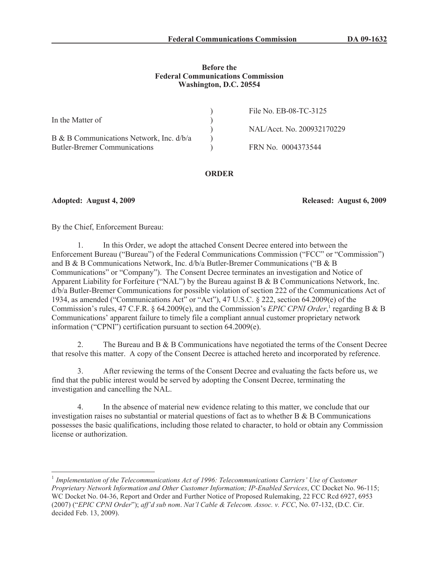### **Before the Federal Communications Commission Washington, D.C. 20554**

| In the Matter of                                                                  | File No. EB-08-TC-3125     |
|-----------------------------------------------------------------------------------|----------------------------|
|                                                                                   | NAL/Acct. No. 200932170229 |
| B & B Communications Network, Inc. $d/b/a$<br><b>Butler-Bremer Communications</b> | FRN No. 0004373544         |

## **ORDER**

**Adopted: August 4, 2009 Released: August 6, 2009**

By the Chief, Enforcement Bureau:

1. In this Order, we adopt the attached Consent Decree entered into between the Enforcement Bureau ("Bureau") of the Federal Communications Commission ("FCC" or "Commission") and B & B Communications Network, Inc. d/b/a Butler-Bremer Communications ("B & B Communications" or "Company"). The Consent Decree terminates an investigation and Notice of Apparent Liability for Forfeiture ("NAL") by the Bureau against B & B Communications Network, Inc. d/b/a Butler-Bremer Communications for possible violation of section 222 of the Communications Act of 1934, as amended ("Communications Act" or "Act"), 47 U.S.C. § 222, section 64.2009(e) of the Commission's rules, 47 C.F.R. § 64.2009(e), and the Commission's *EPIC CPNI Order*,<sup>1</sup> regarding B & B Communications' apparent failure to timely file a compliant annual customer proprietary network information ("CPNI") certification pursuant to section 64.2009(e).

2. The Bureau and  $B \& B$  Communications have negotiated the terms of the Consent Decree that resolve this matter. A copy of the Consent Decree is attached hereto and incorporated by reference.

3. After reviewing the terms of the Consent Decree and evaluating the facts before us, we find that the public interest would be served by adopting the Consent Decree, terminating the investigation and cancelling the NAL.

4. In the absence of material new evidence relating to this matter, we conclude that our investigation raises no substantial or material questions of fact as to whether  $B \& B$  Communications possesses the basic qualifications, including those related to character, to hold or obtain any Commission license or authorization.

<sup>&</sup>lt;sup>1</sup> Implementation of the Telecommunications Act of 1996: Telecommunications Carriers' Use of Customer *Proprietary Network Information and Other Customer Information; IP-Enabled Services*, CC Docket No. 96-115; WC Docket No. 04-36, Report and Order and Further Notice of Proposed Rulemaking, 22 FCC Rcd 6927, 6953 (2007) ("*EPIC CPNI Order*"); *aff'd sub nom*. *Nat'l Cable & Telecom. Assoc. v. FCC*, No. 07-132, (D.C. Cir. decided Feb. 13, 2009).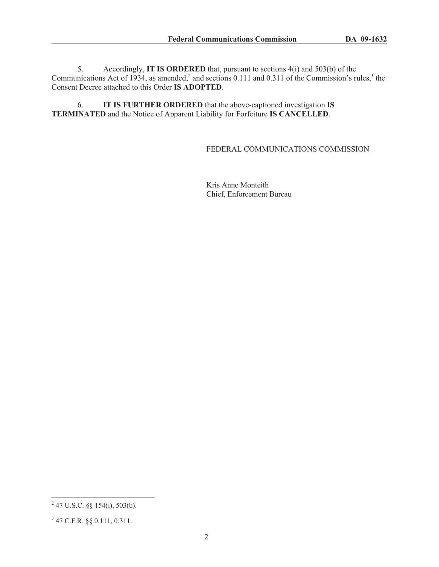5. Accordingly, **IT IS ORDERED** that, pursuant to sections 4(i) and 503(b) of the Communications Act of 1934, as amended,<sup>2</sup> and sections 0.111 and 0.311 of the Commission's rules,<sup>3</sup> the Consent Decree attached to this Order **IS ADOPTED**.

6. **IT IS FURTHER ORDERED** that the above-captioned investigation **IS TERMINATED** and the Notice of Apparent Liability for Forfeiture **IS CANCELLED**.

## FEDERAL COMMUNICATIONS COMMISSION

Kris Anne Monteith Chief, Enforcement Bureau

 $^{2}$  47 U.S.C. §§ 154(i), 503(b).

<sup>3</sup> 47 C.F.R. §§ 0.111, 0.311.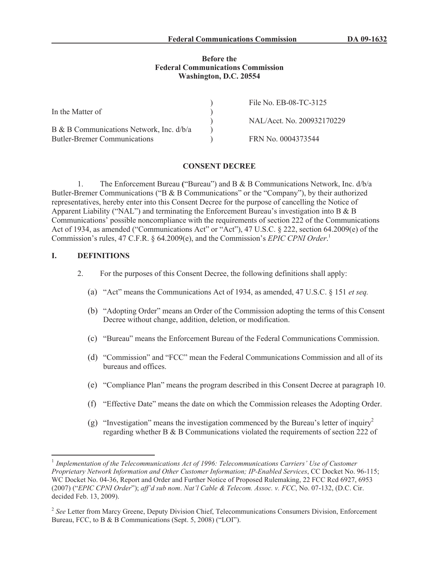#### **Before the Federal Communications Commission Washington, D.C. 20554**

|                                          | File No. EB-08-TC-3125     |
|------------------------------------------|----------------------------|
| In the Matter of                         | NAL/Acct. No. 200932170229 |
| B & B Communications Network, Inc. d/b/a |                            |
| <b>Butler-Bremer Communications</b>      | FRN No. 0004373544         |

#### **CONSENT DECREE**

1. The Enforcement Bureau **(**"Bureau") and B & B Communications Network, Inc. d/b/a Butler-Bremer Communications ("B & B Communications" or the "Company"), by their authorized representatives, hereby enter into this Consent Decree for the purpose of cancelling the Notice of Apparent Liability ("NAL") and terminating the Enforcement Bureau's investigation into B & B Communications' possible noncompliance with the requirements of section 222 of the Communications Act of 1934, as amended ("Communications Act" or "Act"), 47 U.S.C. § 222, section 64.2009(e) of the Commission's rules, 47 C.F.R. § 64.2009(e), and the Commission's *EPIC CPNI Order*. 1

## **I. DEFINITIONS**

- 2. For the purposes of this Consent Decree, the following definitions shall apply:
	- (a) "Act" means the Communications Act of 1934, as amended, 47 U.S.C. § 151 *et seq.*
	- (b) "Adopting Order" means an Order of the Commission adopting the terms of this Consent Decree without change, addition, deletion, or modification.
	- (c) "Bureau" means the Enforcement Bureau of the Federal Communications Commission.
	- (d) "Commission" and "FCC" mean the Federal Communications Commission and all of its bureaus and offices.
	- (e) "Compliance Plan" means the program described in this Consent Decree at paragraph 10.
	- (f) "Effective Date" means the date on which the Commission releases the Adopting Order.
	- (g) "Investigation" means the investigation commenced by the Bureau's letter of inquiry<sup>2</sup> regarding whether B & B Communications violated the requirements of section 222 of

<sup>&</sup>lt;sup>1</sup> Implementation of the Telecommunications Act of 1996: Telecommunications Carriers' Use of Customer *Proprietary Network Information and Other Customer Information; IP-Enabled Services*, CC Docket No. 96-115; WC Docket No. 04-36, Report and Order and Further Notice of Proposed Rulemaking, 22 FCC Rcd 6927, 6953 (2007) ("*EPIC CPNI Order*"); *aff'd sub nom*. *Nat'l Cable & Telecom. Assoc. v. FCC*, No. 07-132, (D.C. Cir. decided Feb. 13, 2009).

<sup>&</sup>lt;sup>2</sup> See Letter from Marcy Greene, Deputy Division Chief, Telecommunications Consumers Division, Enforcement Bureau, FCC, to B & B Communications (Sept. 5, 2008) ("LOI").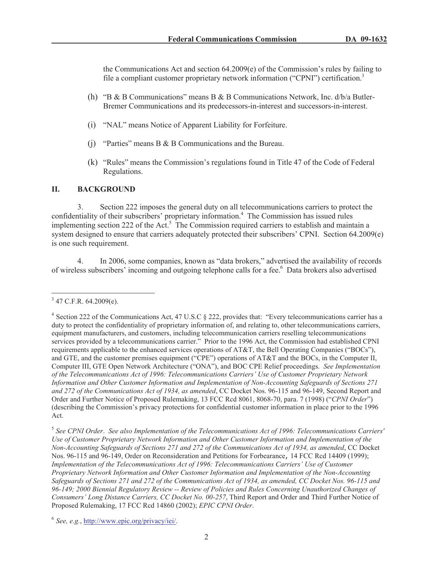the Communications Act and section 64.2009(e) of the Commission's rules by failing to file a compliant customer proprietary network information ("CPNI") certification.<sup>3</sup>

- (h) "B & B Communications" means B & B Communications Network, Inc.  $d/b/a$  Butler-Bremer Communications and its predecessors-in-interest and successors-in-interest.
- (i) "NAL" means Notice of Apparent Liability for Forfeiture.
- (j) "Parties" means B & B Communications and the Bureau.
- (k) "Rules" means the Commission's regulations found in Title 47 of the Code of Federal Regulations.

## **II. BACKGROUND**

3. Section 222 imposes the general duty on all telecommunications carriers to protect the confidentiality of their subscribers' proprietary information.<sup>4</sup> The Commission has issued rules implementing section 222 of the Act.<sup>5</sup> The Commission required carriers to establish and maintain a system designed to ensure that carriers adequately protected their subscribers' CPNI. Section 64.2009(e) is one such requirement.

4. In 2006, some companies, known as "data brokers," advertised the availability of records of wireless subscribers' incoming and outgoing telephone calls for a fee.<sup>6</sup> Data brokers also advertised

 $3$  47 C.F.R. 64.2009(e).

<sup>&</sup>lt;sup>4</sup> Section 222 of the Communications Act, 47 U.S.C § 222, provides that: "Every telecommunications carrier has a duty to protect the confidentiality of proprietary information of, and relating to, other telecommunications carriers, equipment manufacturers, and customers, including telecommunication carriers reselling telecommunications services provided by a telecommunications carrier." Prior to the 1996 Act, the Commission had established CPNI requirements applicable to the enhanced services operations of AT&T, the Bell Operating Companies ("BOCs"), and GTE, and the customer premises equipment ("CPE") operations of AT&T and the BOCs, in the Computer II, Computer III, GTE Open Network Architecture ("ONA"), and BOC CPE Relief proceedings. *See Implementation of the Telecommunications Act of 1996: Telecommunications Carriers' Use of Customer Proprietary Network Information and Other Customer Information and Implementation of Non-Accounting Safeguards of Sections 271 and 272 of the Communications Act of 1934, as amended*, CC Docket Nos. 96-115 and 96-149, Second Report and Order and Further Notice of Proposed Rulemaking, 13 FCC Rcd 8061, 8068-70, para. 7 (1998) ("*CPNI Order*") (describing the Commission's privacy protections for confidential customer information in place prior to the 1996 Act.

<sup>5</sup> *See CPNI Order*. *See also Implementation of the Telecommunications Act of 1996: Telecommunications Carriers' Use of Customer Proprietary Network Information and Other Customer Information and Implementation of the Non-Accounting Safeguards of Sections 271 and 272 of the Communications Act of 1934, as amended*, CC Docket Nos. 96-115 and 96-149, Order on Reconsideration and Petitions for Forbearance, 14 FCC Rcd 14409 (1999); *Implementation of the Telecommunications Act of 1996: Telecommunications Carriers' Use of Customer Proprietary Network Information and Other Customer Information and Implementation of the Non-Accounting Safeguards of Sections 271 and 272 of the Communications Act of 1934, as amended, CC Docket Nos. 96-115 and 96-149; 2000 Biennial Regulatory Review -- Review of Policies and Rules Concerning Unauthorized Changes of Consumers' Long Distance Carriers, CC Docket No. 00-257*, Third Report and Order and Third Further Notice of Proposed Rulemaking, 17 FCC Rcd 14860 (2002); *EPIC CPNI Order*.

<sup>6</sup> *See, e.g.*, http://www.epic.org/privacy/iei/.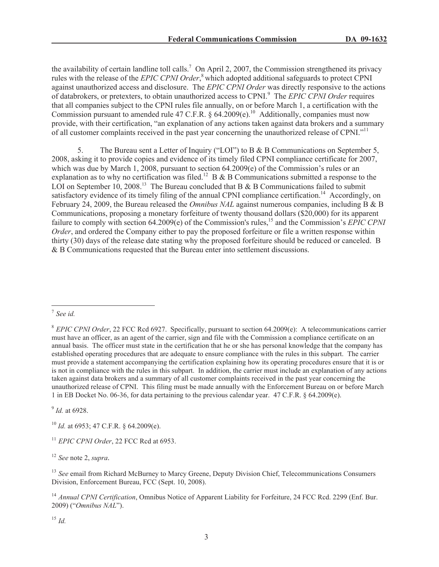the availability of certain landline toll calls.<sup>7</sup> On April 2, 2007, the Commission strengthened its privacy rules with the release of the *EPIC CPNI Order*, <sup>8</sup> which adopted additional safeguards to protect CPNI against unauthorized access and disclosure. The *EPIC CPNI Order* was directly responsive to the actions of databrokers, or pretexters, to obtain unauthorized access to CPNI.<sup>9</sup> The *EPIC CPNI Order* requires that all companies subject to the CPNI rules file annually, on or before March 1, a certification with the Commission pursuant to amended rule 47 C.F.R.  $\S$  64.2009(e).<sup>10</sup> Additionally, companies must now provide, with their certification, "an explanation of any actions taken against data brokers and a summary of all customer complaints received in the past year concerning the unauthorized release of CPNI."<sup>11</sup>

5. The Bureau sent a Letter of Inquiry ("LOI") to B & B Communications on September 5, 2008, asking it to provide copies and evidence of its timely filed CPNI compliance certificate for 2007, which was due by March 1, 2008, pursuant to section 64.2009(e) of the Commission's rules or an explanation as to why no certification was filed.<sup>12</sup> B & B Communications submitted a response to the LOI on September 10, 2008.<sup>13</sup> The Bureau concluded that B  $\&$  B Communications failed to submit satisfactory evidence of its timely filing of the annual CPNI compliance certification.<sup>14</sup> Accordingly, on February 24, 2009, the Bureau released the *Omnibus NAL* against numerous companies, including B & B Communications, proposing a monetary forfeiture of twenty thousand dollars (\$20,000) for its apparent failure to comply with section 64.2009(e) of the Commission's rules,<sup>15</sup> and the Commission's *EPIC CPNI Order*, and ordered the Company either to pay the proposed forfeiture or file a written response within thirty (30) days of the release date stating why the proposed forfeiture should be reduced or canceled. B & B Communications requested that the Bureau enter into settlement discussions.

9 *Id.* at 6928.

<sup>10</sup> *Id.* at 6953; 47 C.F.R. § 64.2009(e).

<sup>11</sup> *EPIC CPNI Order*, 22 FCC Rcd at 6953.

<sup>12</sup> *See* note 2, *supra.*

<sup>13</sup> *See* email from Richard McBurney to Marcy Greene, Deputy Division Chief, Telecommunications Consumers Division, Enforcement Bureau, FCC (Sept. 10, 2008).

<sup>14</sup> *Annual CPNI Certification*, Omnibus Notice of Apparent Liability for Forfeiture, 24 FCC Rcd. 2299 (Enf. Bur. 2009) ("*Omnibus NAL*").

<sup>15</sup> *Id.*

<sup>7</sup> *See id.*

<sup>8</sup> *EPIC CPNI Order*, 22 FCC Rcd 6927. Specifically, pursuant to section 64.2009(e): A telecommunications carrier must have an officer, as an agent of the carrier, sign and file with the Commission a compliance certificate on an annual basis. The officer must state in the certification that he or she has personal knowledge that the company has established operating procedures that are adequate to ensure compliance with the rules in this subpart. The carrier must provide a statement accompanying the certification explaining how its operating procedures ensure that it is or is not in compliance with the rules in this subpart. In addition, the carrier must include an explanation of any actions taken against data brokers and a summary of all customer complaints received in the past year concerning the unauthorized release of CPNI. This filing must be made annually with the Enforcement Bureau on or before March 1 in EB Docket No. 06-36, for data pertaining to the previous calendar year. 47 C.F.R. § 64.2009(e).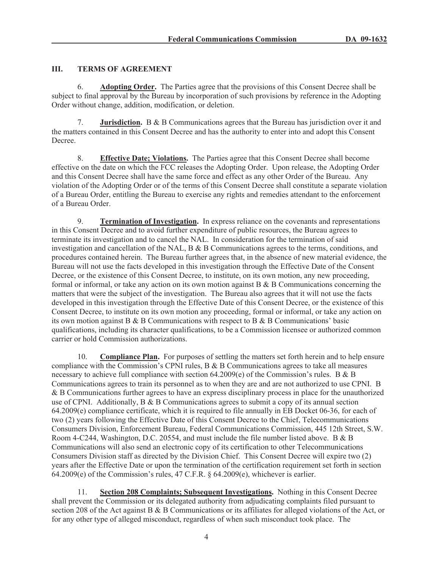# **III. TERMS OF AGREEMENT**

6. **Adopting Order.** The Parties agree that the provisions of this Consent Decree shall be subject to final approval by the Bureau by incorporation of such provisions by reference in the Adopting Order without change, addition, modification, or deletion.

7. **Jurisdiction.** B & B Communications agrees that the Bureau has jurisdiction over it and the matters contained in this Consent Decree and has the authority to enter into and adopt this Consent Decree.

8. **Effective Date; Violations.** The Parties agree that this Consent Decree shall become effective on the date on which the FCC releases the Adopting Order. Upon release, the Adopting Order and this Consent Decree shall have the same force and effect as any other Order of the Bureau. Any violation of the Adopting Order or of the terms of this Consent Decree shall constitute a separate violation of a Bureau Order, entitling the Bureau to exercise any rights and remedies attendant to the enforcement of a Bureau Order.

9. **Termination of Investigation.** In express reliance on the covenants and representations in this Consent Decree and to avoid further expenditure of public resources, the Bureau agrees to terminate its investigation and to cancel the NAL. In consideration for the termination of said investigation and cancellation of the NAL, B & B Communications agrees to the terms, conditions, and procedures contained herein. The Bureau further agrees that, in the absence of new material evidence, the Bureau will not use the facts developed in this investigation through the Effective Date of the Consent Decree, or the existence of this Consent Decree, to institute, on its own motion, any new proceeding, formal or informal, or take any action on its own motion against B & B Communications concerning the matters that were the subject of the investigation. The Bureau also agrees that it will not use the facts developed in this investigation through the Effective Date of this Consent Decree, or the existence of this Consent Decree, to institute on its own motion any proceeding, formal or informal, or take any action on its own motion against B & B Communications with respect to B & B Communications' basic qualifications, including its character qualifications, to be a Commission licensee or authorized common carrier or hold Commission authorizations.

10. **Compliance Plan.** For purposes of settling the matters set forth herein and to help ensure compliance with the Commission's CPNI rules,  $B \& B$  Communications agrees to take all measures necessary to achieve full compliance with section 64.2009(e) of the Commission's rules. B & B Communications agrees to train its personnel as to when they are and are not authorized to use CPNI. B & B Communications further agrees to have an express disciplinary process in place for the unauthorized use of CPNI. Additionally, B & B Communications agrees to submit a copy of its annual section 64.2009(e) compliance certificate, which it is required to file annually in EB Docket 06-36, for each of two (2) years following the Effective Date of this Consent Decree to the Chief, Telecommunications Consumers Division, Enforcement Bureau, Federal Communications Commission, 445 12th Street, S.W. Room 4-C244, Washington, D.C. 20554, and must include the file number listed above. B & B Communications will also send an electronic copy of its certification to other Telecommunications Consumers Division staff as directed by the Division Chief. This Consent Decree will expire two (2) years after the Effective Date or upon the termination of the certification requirement set forth in section 64.2009(e) of the Commission's rules, 47 C.F.R. § 64.2009(e), whichever is earlier.

11. **Section 208 Complaints; Subsequent Investigations.** Nothing in this Consent Decree shall prevent the Commission or its delegated authority from adjudicating complaints filed pursuant to section 208 of the Act against B & B Communications or its affiliates for alleged violations of the Act, or for any other type of alleged misconduct, regardless of when such misconduct took place. The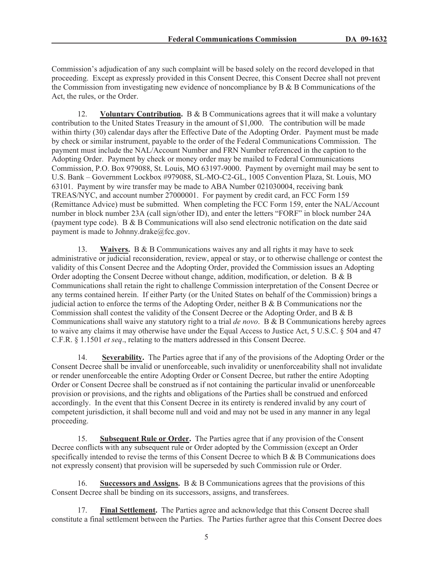Commission's adjudication of any such complaint will be based solely on the record developed in that proceeding. Except as expressly provided in this Consent Decree, this Consent Decree shall not prevent the Commission from investigating new evidence of noncompliance by B & B Communications of the Act, the rules, or the Order.

12. **Voluntary Contribution.** B & B Communications agrees that it will make a voluntary contribution to the United States Treasury in the amount of \$1,000. The contribution will be made within thirty (30) calendar days after the Effective Date of the Adopting Order. Payment must be made by check or similar instrument, payable to the order of the Federal Communications Commission. The payment must include the NAL/Account Number and FRN Number referenced in the caption to the Adopting Order. Payment by check or money order may be mailed to Federal Communications Commission, P.O. Box 979088, St. Louis, MO 63197-9000. Payment by overnight mail may be sent to U.S. Bank – Government Lockbox #979088, SL-MO-C2-GL, 1005 Convention Plaza, St. Louis, MO 63101. Payment by wire transfer may be made to ABA Number 021030004, receiving bank TREAS/NYC, and account number 27000001. For payment by credit card, an FCC Form 159 (Remittance Advice) must be submitted. When completing the FCC Form 159, enter the NAL/Account number in block number 23A (call sign/other ID), and enter the letters "FORF" in block number 24A (payment type code). B & B Communications will also send electronic notification on the date said payment is made to Johnny.drake@fcc.gov.

13. **Waivers.** B & B Communications waives any and all rights it may have to seek administrative or judicial reconsideration, review, appeal or stay, or to otherwise challenge or contest the validity of this Consent Decree and the Adopting Order, provided the Commission issues an Adopting Order adopting the Consent Decree without change, addition, modification, or deletion. B & B Communications shall retain the right to challenge Commission interpretation of the Consent Decree or any terms contained herein. If either Party (or the United States on behalf of the Commission) brings a judicial action to enforce the terms of the Adopting Order, neither  $B & B$  Communications nor the Commission shall contest the validity of the Consent Decree or the Adopting Order, and B & B Communications shall waive any statutory right to a trial *de novo*. B & B Communications hereby agrees to waive any claims it may otherwise have under the Equal Access to Justice Act, 5 U.S.C. § 504 and 47 C.F.R. § 1.1501 *et seq*., relating to the matters addressed in this Consent Decree.

14. **Severability.** The Parties agree that if any of the provisions of the Adopting Order or the Consent Decree shall be invalid or unenforceable, such invalidity or unenforceability shall not invalidate or render unenforceable the entire Adopting Order or Consent Decree, but rather the entire Adopting Order or Consent Decree shall be construed as if not containing the particular invalid or unenforceable provision or provisions, and the rights and obligations of the Parties shall be construed and enforced accordingly. In the event that this Consent Decree in its entirety is rendered invalid by any court of competent jurisdiction, it shall become null and void and may not be used in any manner in any legal proceeding.

15. **Subsequent Rule or Order.** The Parties agree that if any provision of the Consent Decree conflicts with any subsequent rule or Order adopted by the Commission (except an Order specifically intended to revise the terms of this Consent Decree to which B & B Communications does not expressly consent) that provision will be superseded by such Commission rule or Order.

16. **Successors and Assigns.** B & B Communications agrees that the provisions of this Consent Decree shall be binding on its successors, assigns, and transferees.

17. **Final Settlement.** The Parties agree and acknowledge that this Consent Decree shall constitute a final settlement between the Parties. The Parties further agree that this Consent Decree does